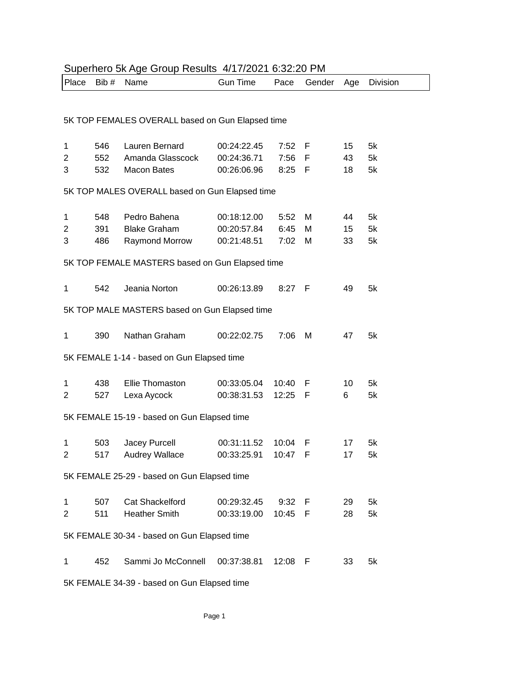| Superhero 5k Age Group Results 4/17/2021 6:32:20 PM |                                                |                                                 |                            |              |        |          |          |  |  |
|-----------------------------------------------------|------------------------------------------------|-------------------------------------------------|----------------------------|--------------|--------|----------|----------|--|--|
| Place                                               | Bib #                                          | Name                                            | <b>Gun Time</b>            | Pace         | Gender | Age      | Division |  |  |
|                                                     |                                                |                                                 |                            |              |        |          |          |  |  |
|                                                     |                                                |                                                 |                            |              |        |          |          |  |  |
| 5K TOP FEMALES OVERALL based on Gun Elapsed time    |                                                |                                                 |                            |              |        |          |          |  |  |
|                                                     |                                                |                                                 |                            |              |        |          |          |  |  |
| 1<br>2                                              | 546<br>552                                     | Lauren Bernard<br>Amanda Glasscock              | 00:24:22.45<br>00:24:36.71 | 7:52<br>7:56 | F<br>F | 15<br>43 | 5k<br>5k |  |  |
| 3                                                   | 532                                            | <b>Macon Bates</b>                              | 00:26:06.96                | 8:25         | - F    | 18       | 5k       |  |  |
|                                                     |                                                |                                                 |                            |              |        |          |          |  |  |
|                                                     | 5K TOP MALES OVERALL based on Gun Elapsed time |                                                 |                            |              |        |          |          |  |  |
| 1                                                   | 548                                            | Pedro Bahena                                    | 00:18:12.00                | 5:52         | М      | 44       | 5k       |  |  |
| 2                                                   | 391                                            | <b>Blake Graham</b>                             | 00:20:57.84                | 6:45         | М      | 15       | 5k       |  |  |
| 3                                                   | 486                                            | Raymond Morrow                                  | 00:21:48.51                | 7:02         | м      | 33       | 5k       |  |  |
|                                                     |                                                |                                                 |                            |              |        |          |          |  |  |
|                                                     |                                                | 5K TOP FEMALE MASTERS based on Gun Elapsed time |                            |              |        |          |          |  |  |
|                                                     |                                                |                                                 |                            |              |        |          |          |  |  |
| 1                                                   | 542                                            | Jeania Norton                                   | 00:26:13.89                | $8:27$ F     |        | 49       | 5k       |  |  |
|                                                     |                                                | 5K TOP MALE MASTERS based on Gun Elapsed time   |                            |              |        |          |          |  |  |
| 1                                                   | 390                                            | Nathan Graham                                   | 00:22:02.75                | 7:06         | M      | 47       | 5k       |  |  |
|                                                     |                                                |                                                 |                            |              |        |          |          |  |  |
|                                                     |                                                | 5K FEMALE 1-14 - based on Gun Elapsed time      |                            |              |        |          |          |  |  |
|                                                     |                                                |                                                 |                            |              |        |          |          |  |  |
| 1                                                   | 438                                            | <b>Ellie Thomaston</b>                          | 00:33:05.04                | 10:40        | F      | 10       | 5k       |  |  |
| 2                                                   | 527                                            | Lexa Aycock                                     | 00:38:31.53                | 12:25        | F      | 6        | 5k       |  |  |
|                                                     |                                                | 5K FEMALE 15-19 - based on Gun Elapsed time     |                            |              |        |          |          |  |  |
|                                                     |                                                |                                                 |                            |              |        |          |          |  |  |
| 1                                                   | 503                                            | Jacey Purcell                                   | 00:31:11.52                | 10:04        | F      | 17       | 5k       |  |  |
| $\overline{c}$                                      |                                                | 517 Audrey Wallace                              | 00:33:25.91 10:47 F        |              |        | 17       | 5k       |  |  |
|                                                     |                                                |                                                 |                            |              |        |          |          |  |  |
|                                                     |                                                | 5K FEMALE 25-29 - based on Gun Elapsed time     |                            |              |        |          |          |  |  |
| 1                                                   | 507                                            | <b>Cat Shackelford</b>                          | 00:29:32.45                | 9:32         | F      | 29       | 5k       |  |  |
| $\overline{c}$                                      | 511                                            | <b>Heather Smith</b>                            | 00:33:19.00                | 10:45        | E      | 28       | 5k       |  |  |
|                                                     |                                                |                                                 |                            |              |        |          |          |  |  |
|                                                     |                                                | 5K FEMALE 30-34 - based on Gun Elapsed time     |                            |              |        |          |          |  |  |
|                                                     |                                                | Sammi Jo McConnell                              |                            |              |        |          |          |  |  |
| 1                                                   | 452                                            |                                                 | 00:37:38.81                | 12:08        | F      | 33       | 5k       |  |  |

5K FEMALE 34-39 - based on Gun Elapsed time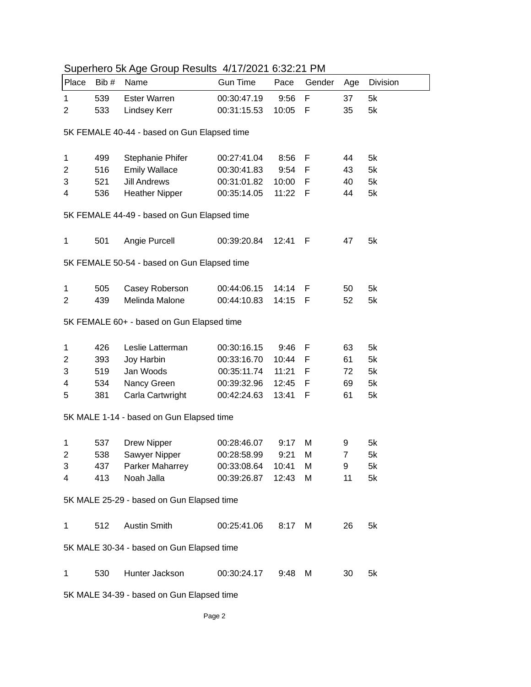| Place                                     | Bib#                                        | <b>Superingle Six rigger Sileup Troballo</b> The Fig. 0.02.2 Fig. 191<br>Name | <b>Gun Time</b> | Pace    | Gender | Age            | <b>Division</b> |  |  |
|-------------------------------------------|---------------------------------------------|-------------------------------------------------------------------------------|-----------------|---------|--------|----------------|-----------------|--|--|
| 1                                         | 539                                         | <b>Ester Warren</b>                                                           | 00:30:47.19     | 9:56    | F      | 37             | 5k              |  |  |
| 2                                         | 533                                         | Lindsey Kerr                                                                  | 00:31:15.53     | 10:05   | F      | 35             | 5k              |  |  |
|                                           |                                             |                                                                               |                 |         |        |                |                 |  |  |
|                                           | 5K FEMALE 40-44 - based on Gun Elapsed time |                                                                               |                 |         |        |                |                 |  |  |
| 1                                         | 499                                         | Stephanie Phifer                                                              | 00:27:41.04     | 8:56    | F      | 44             | 5k              |  |  |
| $\overline{2}$                            | 516                                         | <b>Emily Wallace</b>                                                          | 00:30:41.83     | 9:54    | F      | 43             | 5k              |  |  |
| 3                                         | 521                                         | <b>Jill Andrews</b>                                                           | 00:31:01.82     | 10:00   | F      | 40             | 5k              |  |  |
| 4                                         | 536                                         | <b>Heather Nipper</b>                                                         | 00:35:14.05     | 11:22 F |        | 44             | 5k              |  |  |
|                                           |                                             |                                                                               |                 |         |        |                |                 |  |  |
|                                           |                                             | 5K FEMALE 44-49 - based on Gun Elapsed time                                   |                 |         |        |                |                 |  |  |
| $\mathbf{1}$                              | 501                                         | Angie Purcell                                                                 | 00:39:20.84     | 12:41   | -F     | 47             | 5k              |  |  |
|                                           |                                             | 5K FEMALE 50-54 - based on Gun Elapsed time                                   |                 |         |        |                |                 |  |  |
|                                           |                                             |                                                                               |                 |         |        |                |                 |  |  |
| 1                                         | 505                                         | Casey Roberson                                                                | 00:44:06.15     | 14:14   | F      | 50             | 5k              |  |  |
| 2                                         | 439                                         | Melinda Malone                                                                | 00:44:10.83     | 14:15   | - F    | 52             | 5k              |  |  |
|                                           |                                             | 5K FEMALE 60+ - based on Gun Elapsed time                                     |                 |         |        |                |                 |  |  |
| 1                                         | 426                                         | Leslie Latterman                                                              | 00:30:16.15     | 9:46    | F      | 63             | 5k              |  |  |
| 2                                         | 393                                         | Joy Harbin                                                                    | 00:33:16.70     | 10:44   | F      | 61             | 5k              |  |  |
| 3                                         | 519                                         | Jan Woods                                                                     | 00:35:11.74     | 11:21   | F      | 72             | 5k              |  |  |
| 4                                         | 534                                         | Nancy Green                                                                   | 00:39:32.96     | 12:45   | F      | 69             | 5k              |  |  |
| 5                                         | 381                                         | Carla Cartwright                                                              | 00:42:24.63     | 13:41   | - F    | 61             | 5k              |  |  |
|                                           |                                             | 5K MALE 1-14 - based on Gun Elapsed time                                      |                 |         |        |                |                 |  |  |
|                                           |                                             |                                                                               |                 |         |        |                |                 |  |  |
| 1                                         | 537                                         | <b>Drew Nipper</b>                                                            | 00:28:46.07     | 9:17    | M      | 9              | 5k              |  |  |
| $\overline{c}$                            | 538                                         | Sawyer Nipper                                                                 | 00:28:58.99     | 9:21    | M      | $\overline{7}$ | 5k              |  |  |
| 3                                         | 437                                         | Parker Maharrey                                                               | 00:33:08.64     | 10:41   | M      | 9              | 5k              |  |  |
| 4                                         | 413                                         | Noah Jalla                                                                    | 00:39:26.87     | 12:43   | M      | 11             | 5k              |  |  |
|                                           |                                             | 5K MALE 25-29 - based on Gun Elapsed time                                     |                 |         |        |                |                 |  |  |
| 1                                         | 512                                         | <b>Austin Smith</b>                                                           | 00:25:41.06     | 8:17    | M      | 26             | 5k              |  |  |
|                                           |                                             | 5K MALE 30-34 - based on Gun Elapsed time                                     |                 |         |        |                |                 |  |  |
|                                           |                                             |                                                                               |                 |         |        |                |                 |  |  |
| 1                                         | 530                                         | Hunter Jackson                                                                | 00:30:24.17     | 9:48    | M      | 30             | 5k              |  |  |
| 5K MALE 34-39 - based on Gun Elapsed time |                                             |                                                                               |                 |         |        |                |                 |  |  |

## Superhero 5k Age Group Results 4/17/2021 6:32:21 PM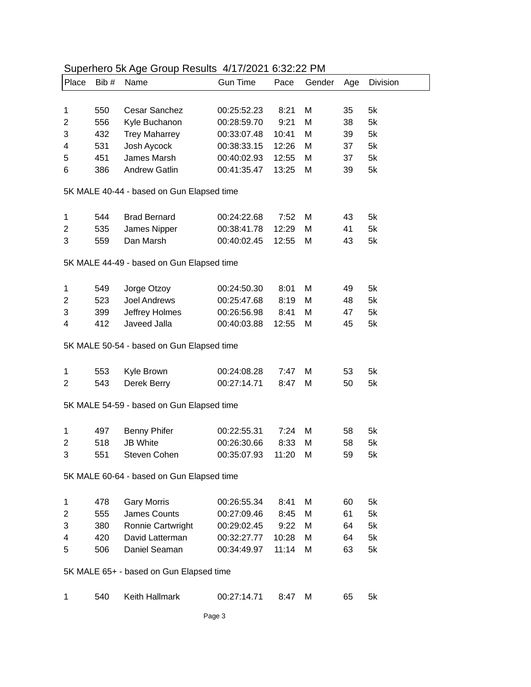| Place                                     | Bib#                                      | superiors on rigo Sroup Robalto 1717/2021 0.02.221 M<br>Name |                 |       |        |     |                 |  |  |  |
|-------------------------------------------|-------------------------------------------|--------------------------------------------------------------|-----------------|-------|--------|-----|-----------------|--|--|--|
|                                           |                                           |                                                              | <b>Gun Time</b> | Pace  | Gender | Age | <b>Division</b> |  |  |  |
|                                           |                                           |                                                              |                 |       |        |     |                 |  |  |  |
| 1                                         | 550                                       | Cesar Sanchez                                                | 00:25:52.23     | 8:21  | M      | 35  | 5k              |  |  |  |
| 2                                         | 556                                       | Kyle Buchanon                                                | 00:28:59.70     | 9:21  | M      | 38  | 5k              |  |  |  |
| 3                                         | 432                                       | <b>Trey Maharrey</b>                                         | 00:33:07.48     | 10:41 | M      | 39  | 5k              |  |  |  |
| 4                                         | 531                                       | Josh Aycock                                                  | 00:38:33.15     | 12:26 | M      | 37  | 5k              |  |  |  |
| 5                                         | 451                                       | James Marsh                                                  | 00:40:02.93     | 12:55 | M      | 37  | 5k              |  |  |  |
| 6                                         | 386                                       | <b>Andrew Gatlin</b>                                         | 00:41:35.47     | 13:25 | M      | 39  | 5k              |  |  |  |
|                                           | 5K MALE 40-44 - based on Gun Elapsed time |                                                              |                 |       |        |     |                 |  |  |  |
|                                           |                                           |                                                              |                 |       |        |     |                 |  |  |  |
| 1                                         | 544                                       | <b>Brad Bernard</b>                                          | 00:24:22.68     | 7:52  | M      | 43  | 5k              |  |  |  |
| 2                                         | 535                                       | James Nipper                                                 | 00:38:41.78     | 12:29 | M      | 41  | 5k              |  |  |  |
| 3                                         | 559                                       | Dan Marsh                                                    | 00:40:02.45     | 12:55 | M      | 43  | 5k              |  |  |  |
|                                           |                                           | 5K MALE 44-49 - based on Gun Elapsed time                    |                 |       |        |     |                 |  |  |  |
|                                           |                                           |                                                              |                 |       |        |     |                 |  |  |  |
| 1                                         | 549                                       | Jorge Otzoy                                                  | 00:24:50.30     | 8:01  | M      | 49  | 5k              |  |  |  |
| $\overline{2}$                            | 523                                       | Joel Andrews                                                 | 00:25:47.68     | 8:19  | M      | 48  | 5k              |  |  |  |
| 3                                         | 399                                       | Jeffrey Holmes                                               | 00:26:56.98     | 8:41  | M      | 47  | 5k              |  |  |  |
| 4                                         | 412                                       | Javeed Jalla                                                 | 00:40:03.88     | 12:55 | M      | 45  | 5k              |  |  |  |
|                                           |                                           |                                                              |                 |       |        |     |                 |  |  |  |
|                                           |                                           | 5K MALE 50-54 - based on Gun Elapsed time                    |                 |       |        |     |                 |  |  |  |
| 1                                         | 553                                       | Kyle Brown                                                   | 00:24:08.28     | 7:47  | M      | 53  | 5k              |  |  |  |
| 2                                         | 543                                       | Derek Berry                                                  | 00:27:14.71     | 8:47  | M      | 50  | 5k              |  |  |  |
|                                           |                                           |                                                              |                 |       |        |     |                 |  |  |  |
| 5K MALE 54-59 - based on Gun Elapsed time |                                           |                                                              |                 |       |        |     |                 |  |  |  |
| 1                                         | 497                                       | <b>Benny Phifer</b>                                          | 00:22:55.31     | 7:24  | M      | 58  | 5k              |  |  |  |
| 2                                         | 518                                       | <b>JB White</b>                                              | 00:26:30.66     | 8:33  | M      | 58  | 5k              |  |  |  |
| 3                                         | 551                                       | Steven Cohen                                                 | 00:35:07.93     | 11:20 | M      | 59  | 5k              |  |  |  |
|                                           |                                           |                                                              |                 |       |        |     |                 |  |  |  |
| 5K MALE 60-64 - based on Gun Elapsed time |                                           |                                                              |                 |       |        |     |                 |  |  |  |
| 1                                         | 478                                       | <b>Gary Morris</b>                                           | 00:26:55.34     | 8:41  | M      | 60  | 5k              |  |  |  |
| 2                                         | 555                                       | James Counts                                                 | 00:27:09.46     | 8:45  | M      | 61  | 5k              |  |  |  |
| 3                                         | 380                                       | Ronnie Cartwright                                            | 00:29:02.45     | 9:22  | M      | 64  | 5k              |  |  |  |
| 4                                         | 420                                       | David Latterman                                              | 00:32:27.77     | 10:28 | M      | 64  | 5k              |  |  |  |
| 5                                         | 506                                       | Daniel Seaman                                                | 00:34:49.97     | 11:14 | M      | 63  | 5k              |  |  |  |
|                                           |                                           |                                                              |                 |       |        |     |                 |  |  |  |
| 5K MALE 65+ - based on Gun Elapsed time   |                                           |                                                              |                 |       |        |     |                 |  |  |  |
| 1                                         | 540                                       | Keith Hallmark                                               | 00:27:14.71     | 8:47  | м      | 65  | 5k              |  |  |  |

## Superhero 5k Age Group Results 4/17/2021 6:32:22 PM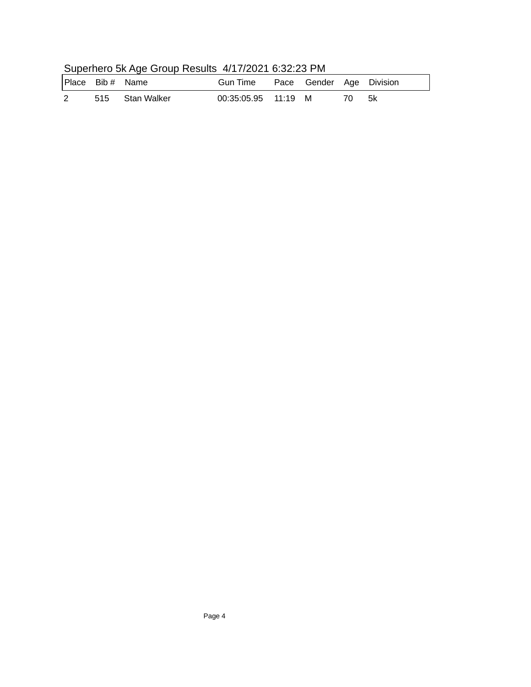| <b>Superiors</b> on rigo Sroup Robard MillEUL 6.02.201 M |                  |                 |                                   |  |  |     |      |  |  |
|----------------------------------------------------------|------------------|-----------------|-----------------------------------|--|--|-----|------|--|--|
|                                                          | Place Bib # Name |                 | Gun Time Pace Gender Age Division |  |  |     |      |  |  |
| $2^{\circ}$                                              |                  | 515 Stan Walker | 00:35:05.95 11:19 M               |  |  | 70. | - 5k |  |  |

## Superhero 5k Age Group Results 4/17/2021 6:32:23 PM